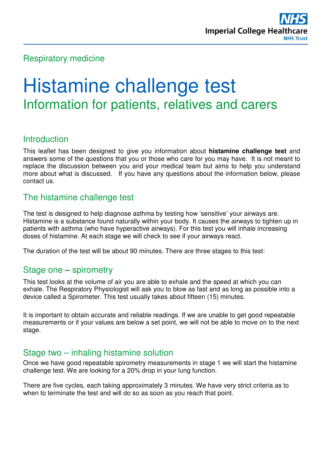## Respiratory medicine

# Histamine challenge test Information for patients, relatives and carers

## Introduction

This leaflet has been designed to give you information about **histamine challenge test** and answers some of the questions that you or those who care for you may have. It is not meant to replace the discussion between you and your medical team but aims to help you understand more about what is discussed. If you have any questions about the information below, please contact us.

## The histamine challenge test

The test is designed to help diagnose asthma by testing how 'sensitive' your airways are. Histamine is a substance found naturally within your body. It causes the airways to tighten up in patients with asthma (who have hyperactive airways). For this test you will inhale increasing doses of histamine. At each stage we will check to see if your airways react.

The duration of the test will be about 90 minutes. There are three stages to this test:

## Stage one **–** spirometry

This test looks at the volume of air you are able to exhale and the speed at which you can exhale. The Respiratory Physiologist will ask you to blow as fast and as long as possible into a device called a Spirometer. This test usually takes about fifteen (15) minutes.

It is important to obtain accurate and reliable readings. If we are unable to get good repeatable measurements or if your values are below a set point, we will not be able to move on to the next stage.

## Stage two – inhaling histamine solution

Once we have good repeatable spirometry measurements in stage 1 we will start the histamine challenge test. We are looking for a 20% drop in your lung function.

There are five cycles, each taking approximately 3 minutes. We have very strict criteria as to when to terminate the test and will do so as soon as you reach that point.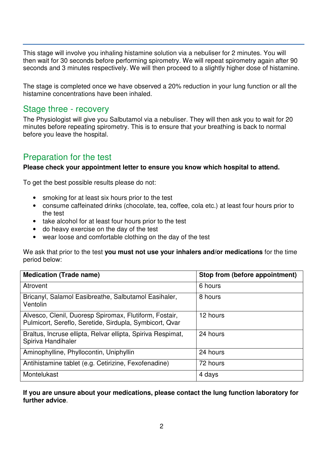This stage will involve you inhaling histamine solution via a nebuliser for 2 minutes. You will then wait for 30 seconds before performing spirometry. We will repeat spirometry again after 90 seconds and 3 minutes respectively. We will then proceed to a slightly higher dose of histamine.

The stage is completed once we have observed a 20% reduction in your lung function or all the histamine concentrations have been inhaled.

### Stage three - recovery

The Physiologist will give you Salbutamol via a nebuliser. They will then ask you to wait for 20 minutes before repeating spirometry. This is to ensure that your breathing is back to normal before you leave the hospital.

## Preparation for the test

#### **Please check your appointment letter to ensure you know which hospital to attend.**

To get the best possible results please do not:

- smoking for at least six hours prior to the test
- consume caffeinated drinks (chocolate, tea, coffee, cola etc.) at least four hours prior to the test
- take alcohol for at least four hours prior to the test
- do heavy exercise on the day of the test
- wear loose and comfortable clothing on the day of the test

We ask that prior to the test **you must not use your inhalers and/or medications** for the time period below:

| <b>Medication (Trade name)</b>                                                                                    | Stop from (before appointment) |
|-------------------------------------------------------------------------------------------------------------------|--------------------------------|
| Atrovent                                                                                                          | 6 hours                        |
| Bricanyl, Salamol Easibreathe, Salbutamol Easihaler,<br>Ventolin                                                  | 8 hours                        |
| Alvesco, Clenil, Duoresp Spiromax, Flutiform, Fostair,<br>Pulmicort, Sereflo, Seretide, Sirdupla, Symbicort, Qvar | 12 hours                       |
| Braltus, Incruse ellipta, Relvar ellipta, Spiriva Respimat,<br>Spiriva Handihaler                                 | 24 hours                       |
| Aminophylline, Phyllocontin, Uniphyllin                                                                           | 24 hours                       |
| Antihistamine tablet (e.g. Cetirizine, Fexofenadine)                                                              | 72 hours                       |
| Montelukast                                                                                                       | 4 days                         |

#### **If you are unsure about your medications, please contact the lung function laboratory for further advice**.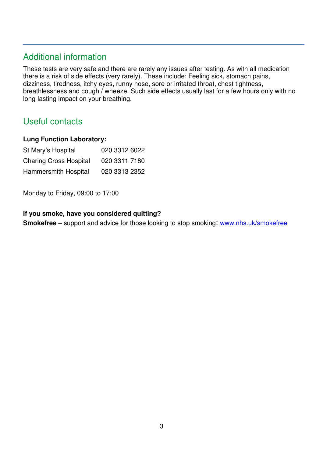# Additional information

These tests are very safe and there are rarely any issues after testing. As with all medication there is a risk of side effects (very rarely). These include: Feeling sick, stomach pains, dizziness, tiredness, itchy eyes, runny nose, sore or irritated throat, chest tightness, breathlessness and cough / wheeze. Such side effects usually last for a few hours only with no long-lasting impact on your breathing.

# Useful contacts

#### **Lung Function Laboratory:**

| St Mary's Hospital            | 020 3312 6022 |
|-------------------------------|---------------|
| <b>Charing Cross Hospital</b> | 020 3311 7180 |
| Hammersmith Hospital          | 020 3313 2352 |

Monday to Friday, 09:00 to 17:00

#### **If you smoke, have you considered quitting?**

**Smokefree** – support and advice for those looking to stop smoking: www.nhs.uk/smokefree